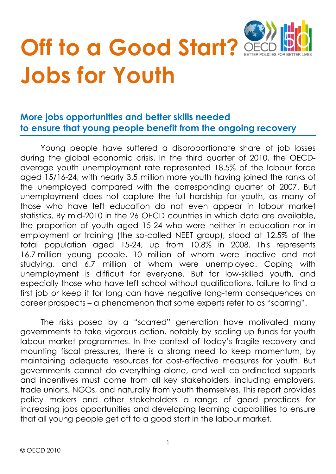

# **Off to a Good Start? Jobs for Youth**

# **More jobs opportunities and better skills needed to ensure that young people benefit from the ongoing recovery**

Young people have suffered a disproportionate share of job losses during the global economic crisis. In the third quarter of 2010, the OECDaverage youth unemployment rate represented 18.5% of the labour force aged 15/16-24, with nearly 3.5 million more youth having joined the ranks of the unemployed compared with the corresponding quarter of 2007. But unemployment does not capture the full hardship for youth, as many of those who have left education do not even appear in labour market statistics. By mid-2010 in the 26 OECD countries in which data are available, the proportion of youth aged 15-24 who were neither in education nor in employment or training (the so-called NEET group), stood at 12.5% of the total population aged 15-24, up from 10.8% in 2008. This represents 16.7 million young people, 10 million of whom were inactive and not studying, and 6.7 million of whom were unemployed. Coping with unemployment is difficult for everyone. But for low-skilled youth, and especially those who have left school without qualifications, failure to find a first job or keep it for long can have negative long-term consequences on career prospects – a phenomenon that some experts refer to as "scarring".

The risks posed by a "scarred" generation have motivated many governments to take vigorous action, notably by scaling up funds for youth labour market programmes. In the context of today's fragile recovery and mounting fiscal pressures, there is a strong need to keep momentum, by maintaining adequate resources for cost-effective measures for youth. But governments cannot do everything alone, and well co-ordinated supports and incentives must come from all key stakeholders, including employers, trade unions, NGOs, and naturally from youth themselves. This report provides policy makers and other stakeholders a range of good practices for increasing jobs opportunities and developing learning capabilities to ensure that all young people get off to a good start in the labour market.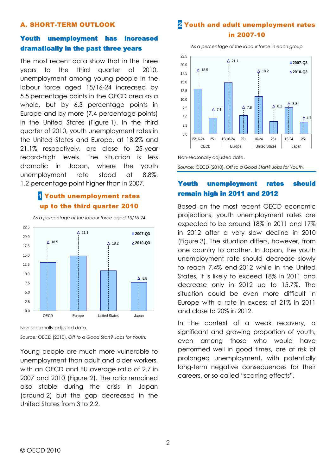#### A. SHORT-TERM OUTLOOK

#### Youth unemployment has increased dramatically in the past three years

The most recent data show that in the three years to the third quarter of 2010, unemployment among young people in the labour force aged 15/16-24 increased by 5.5 percentage points in the OECD area as a whole, but by 6.3 percentage points in Europe and by more (7.4 percentage points) in the United States (Figure 1). In the third quarter of 2010, youth unemployment rates in the United States and Europe, at 18.2% and 21.1% respectively, are close to 25-year record-high levels. The situation is less dramatic in Japan, where the youth unemployment rate stood at 8.8%, 1.2 percentage point higher than in 2007.

# **1** Youth unemployment rates up to the third quarter 2010

*As a percentage of the labour force aged 15/16-24*



Non-seasonally adjusted data.

*Source:* OECD (2010), *Off to a Good Start? Jobs for Youth.*

Young people are much more vulnerable to unemployment than adult and older workers, with an OECD and EU average ratio of 2.7 in 2007 and 2010 (Figure 2). The ratio remained also stable during the crisis in Japan (around 2) but the gap decreased in the United States from 3 to 2.2.

# 2 Youth and adult unemployment rates in 2007-10

*As a percentage of the labour force in each group*



*Source:* OECD (2010), *Off to a Good Start? Jobs for Youth.*

#### Youth unemployment rates should remain high in 2011 and 2012

Based on the most recent OECD economic projections, youth unemployment rates are expected to be around 18% in 2011 and 17% in 2012 after a very slow decline in 2010 (Figure 3). The situation differs, however, from one country to another. In Japan, the youth unemployment rate should decrease slowly to reach 7.4% end-2012 while in the United States, it is likely to exceed 18% in 2011 and decrease only in 2012 up to 15.7%. The situation could be even more difficult In Europe with a rate in excess of 21% in 2011 and close to 20% in 2012.

In the context of a weak recovery, a significant and growing proportion of youth, even among those who would have performed well in good times, are at risk of prolonged unemployment, with potentially long-term negative consequences for their careers, or so-called "scarring effects".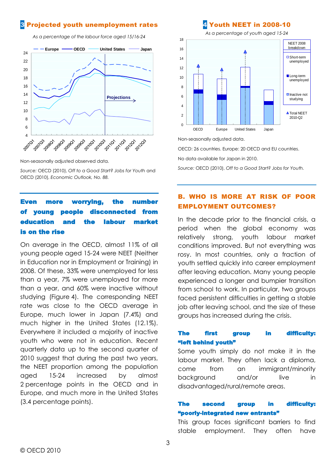# 3 Projected youth unemployment rates

*As a percentage of the labour force aged 15/16-24*



Non-seasonally adjusted observed data.

*Source:* OECD (2010), *Off to a Good Start? Jobs for Youth* and OECD (2010), *Economic Outlook, No. 88.*

# more worrying, the number of young people disconnected from education and the labour market is on the rise

On average in the OECD, almost 11% of all young people aged 15-24 were NEET (Neither in Education nor in Employment or Training) in 2008. Of these, 33% were unemployed for less than a year, 7% were unemployed for more than a year, and 60% were inactive without studying (Figure 4). The corresponding NEET rate was close to the OECD average in Europe, much lower in Japan (7.4%) and much higher in the United States (12.1%). Everywhere it included a majority of inactive youth who were not in education. Recent quarterly data up to the second quarter of 2010 suggest that during the past two years, the NEET proportion among the population aged 15-24 increased by almost 2 percentage points in the OECD and in Europe, and much more in the United States (3.4 percentage points).

#### 4 Youth NEET in 2008-10



Non-seasonally adjusted data.

OECD: 26 countries. Europe: 20 OECD and EU countries.

No data available for Japan in 2010.

*Source:* OECD (2010), *Off to a Good Start? Jobs for Youth.*

#### B. WHO IS MORE AT RISK OF POOR EMPLOYMENT OUTCOMES?

In the decade prior to the financial crisis, a period when the global economy was relatively strong, youth labour market conditions improved. But not everything was rosy. In most countries, only a fraction of youth settled quickly into career employment after leaving education. Many young people experienced a longer and bumpier transition from school to work. In particular, two groups faced persistent difficulties in getting a stable job after leaving school, and the size of these groups has increased during the crisis.

#### The first group in difficulty: "left behind youth"

Some youth simply do not make it in the labour market. They often lack a diploma, come from an immigrant/minority background and/or live in disadvantaged/rural/remote areas.

#### The second group in difficulty: "poorly-integrated new entrants"

This group faces significant barriers to find stable employment. They often have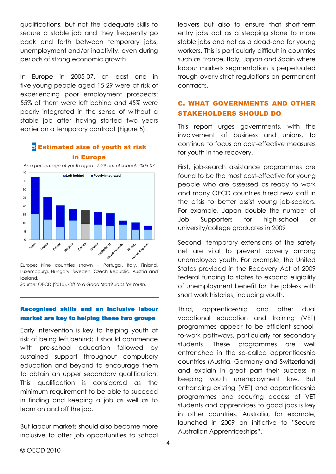qualifications, but not the adequate skills to secure a stable job and they frequently go back and forth between temporary jobs, unemployment and/or inactivity, even during periods of strong economic growth.

In Europe in 2005-07, at least one in five young people aged 15-29 were at risk of experiencing poor employment prospects: 55% of them were left behind and 45% were poorly integrated in the sense of without a stable job after having started two years earlier on a temporary contract (Figure 5).

### 5 Estimated size of youth at risk in Europe

*As a percentage of youth aged 15-29 out of school, 2005-07*



Europe: Nine countries shown + Portugal, Italy, Finland, Luxembourg, Hungary, Sweden, Czech Republic, Austria and Iceland.

*Source:* OECD (2010), *Off to a Good Start? Jobs for Youth.*

#### Recognised skills and an inclusive labour market are key to helping these two groups

Early intervention is key to helping youth at risk of being left behind; it should commence with pre-school education followed by sustained support throughout compulsory education and beyond to encourage them to obtain an upper secondary qualification. This qualification is considered as the minimum requirement to be able to succeed in finding and keeping a job as well as to learn on and off the job.

But labour markets should also become more inclusive to offer job opportunities to school leavers but also to ensure that short-term entry jobs act as a stepping stone to more stable jobs and not as a dead-end for young workers. This is particularly difficult in countries such as France, Italy, Japan and Spain where labour markets segmentation is perpetuated trough overly-strict regulations on permanent contracts.

# C. WHAT GOVERNMENTS AND OTHER STAKEHOLDERS SHOULD DO

This report urges governments, with the involvement of business and unions, to continue to focus on cost-effective measures for youth in the recovery.

First, job-search assistance programmes are found to be the most cost-effective for young people who are assessed as ready to work and many OECD countries hired new staff in the crisis to better assist young job-seekers. For example, Japan double the number of Job Supporters for high-school or university/college graduates in 2009

Second, temporary extensions of the safety net are vital to prevent poverty among unemployed youth. For example, the United States provided in the Recovery Act of 2009 federal funding to states to expand eligibility of unemployment benefit for the jobless with short work histories, including youth.

Third, apprenticeship and other dual vocational education and training (VET) programmes appear to be efficient schoolto-work pathways, particularly for secondary students. These programmes are well entrenched in the so-called apprenticeship countries (Austria, Germany and Switzerland) and explain in great part their success in keeping youth unemployment low. But enhancing existing (VET) and apprenticeship programmes and securing access of VET students and apprentices to good jobs is key in other countries. Australia, for example, launched in 2009 an initiative to "Secure Australian Apprenticeships".